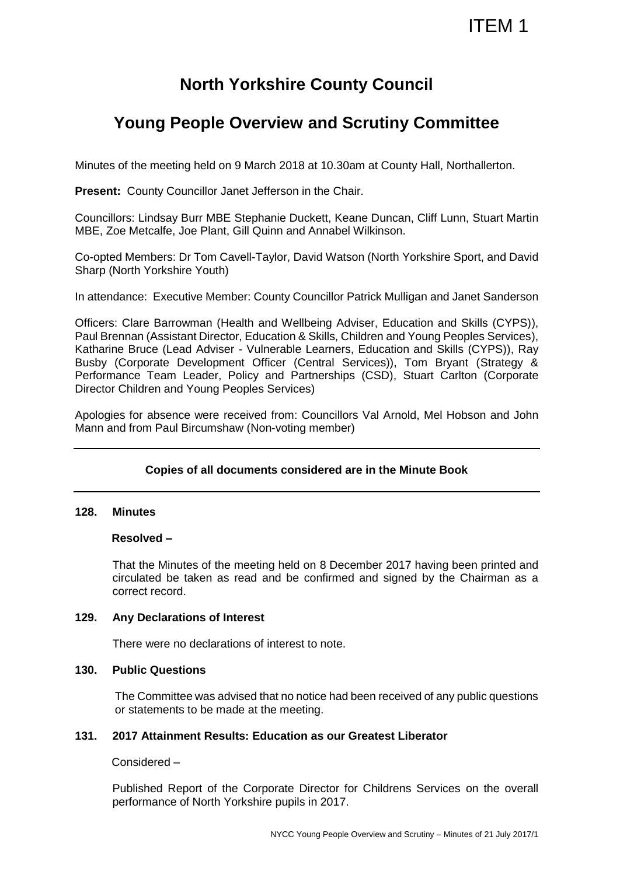# ITEM 1

## **North Yorkshire County Council**

## **Young People Overview and Scrutiny Committee**

Minutes of the meeting held on 9 March 2018 at 10.30am at County Hall, Northallerton.

**Present:** County Councillor Janet Jefferson in the Chair.

Councillors: Lindsay Burr MBE Stephanie Duckett, Keane Duncan, Cliff Lunn, Stuart Martin MBE, Zoe Metcalfe, Joe Plant, Gill Quinn and Annabel Wilkinson.

Co-opted Members: Dr Tom Cavell-Taylor, David Watson (North Yorkshire Sport, and David Sharp (North Yorkshire Youth)

In attendance: Executive Member: County Councillor Patrick Mulligan and Janet Sanderson

Officers: Clare Barrowman (Health and Wellbeing Adviser, Education and Skills (CYPS)), Paul Brennan (Assistant Director, Education & Skills, Children and Young Peoples Services), Katharine Bruce (Lead Adviser - Vulnerable Learners, Education and Skills (CYPS)), Ray Busby (Corporate Development Officer (Central Services)), Tom Bryant (Strategy & Performance Team Leader, Policy and Partnerships (CSD), Stuart Carlton (Corporate Director Children and Young Peoples Services)

Apologies for absence were received from: Councillors Val Arnold, Mel Hobson and John Mann and from Paul Bircumshaw (Non-voting member)

## **Copies of all documents considered are in the Minute Book**

#### **128. Minutes**

#### **Resolved –**

That the Minutes of the meeting held on 8 December 2017 having been printed and circulated be taken as read and be confirmed and signed by the Chairman as a correct record.

#### **129. Any Declarations of Interest**

There were no declarations of interest to note.

## **130. Public Questions**

The Committee was advised that no notice had been received of any public questions or statements to be made at the meeting.

#### **131. 2017 Attainment Results: Education as our Greatest Liberator**

Considered –

Published Report of the Corporate Director for Childrens Services on the overall performance of North Yorkshire pupils in 2017.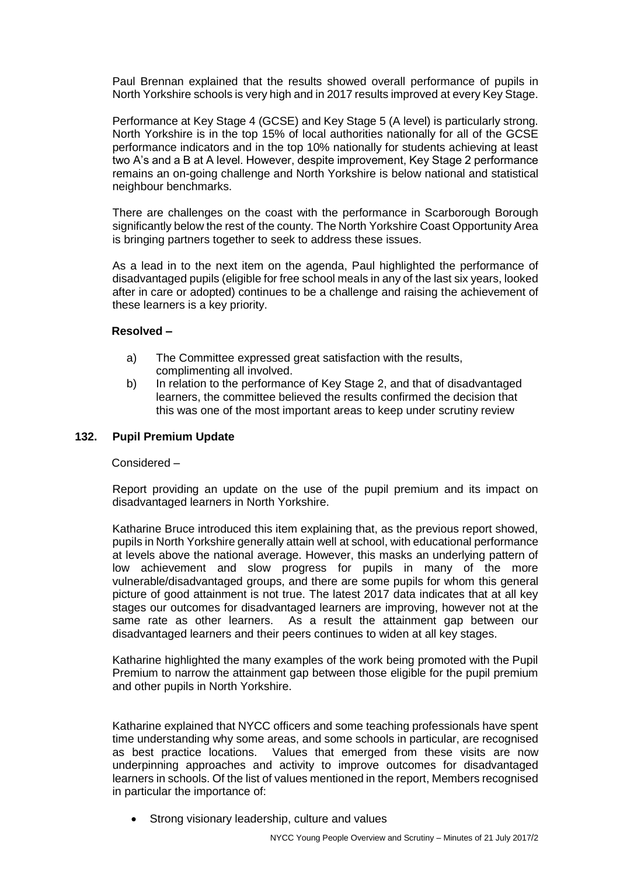Paul Brennan explained that the results showed overall performance of pupils in North Yorkshire schools is very high and in 2017 results improved at every Key Stage.

Performance at Key Stage 4 (GCSE) and Key Stage 5 (A level) is particularly strong. North Yorkshire is in the top 15% of local authorities nationally for all of the GCSE performance indicators and in the top 10% nationally for students achieving at least two A's and a B at A level. However, despite improvement, Key Stage 2 performance remains an on-going challenge and North Yorkshire is below national and statistical neighbour benchmarks.

There are challenges on the coast with the performance in Scarborough Borough significantly below the rest of the county. The North Yorkshire Coast Opportunity Area is bringing partners together to seek to address these issues.

As a lead in to the next item on the agenda, Paul highlighted the performance of disadvantaged pupils (eligible for free school meals in any of the last six years, looked after in care or adopted) continues to be a challenge and raising the achievement of these learners is a key priority.

## **Resolved –**

- a) The Committee expressed great satisfaction with the results, complimenting all involved.
- b) In relation to the performance of Key Stage 2, and that of disadvantaged learners, the committee believed the results confirmed the decision that this was one of the most important areas to keep under scrutiny review

## **132. Pupil Premium Update**

#### Considered –

Report providing an update on the use of the pupil premium and its impact on disadvantaged learners in North Yorkshire.

Katharine Bruce introduced this item explaining that, as the previous report showed, pupils in North Yorkshire generally attain well at school, with educational performance at levels above the national average. However, this masks an underlying pattern of low achievement and slow progress for pupils in many of the more vulnerable/disadvantaged groups, and there are some pupils for whom this general picture of good attainment is not true. The latest 2017 data indicates that at all key stages our outcomes for disadvantaged learners are improving, however not at the same rate as other learners. As a result the attainment gap between our disadvantaged learners and their peers continues to widen at all key stages.

Katharine highlighted the many examples of the work being promoted with the Pupil Premium to narrow the attainment gap between those eligible for the pupil premium and other pupils in North Yorkshire.

Katharine explained that NYCC officers and some teaching professionals have spent time understanding why some areas, and some schools in particular, are recognised as best practice locations. Values that emerged from these visits are now underpinning approaches and activity to improve outcomes for disadvantaged learners in schools. Of the list of values mentioned in the report, Members recognised in particular the importance of:

Strong visionary leadership, culture and values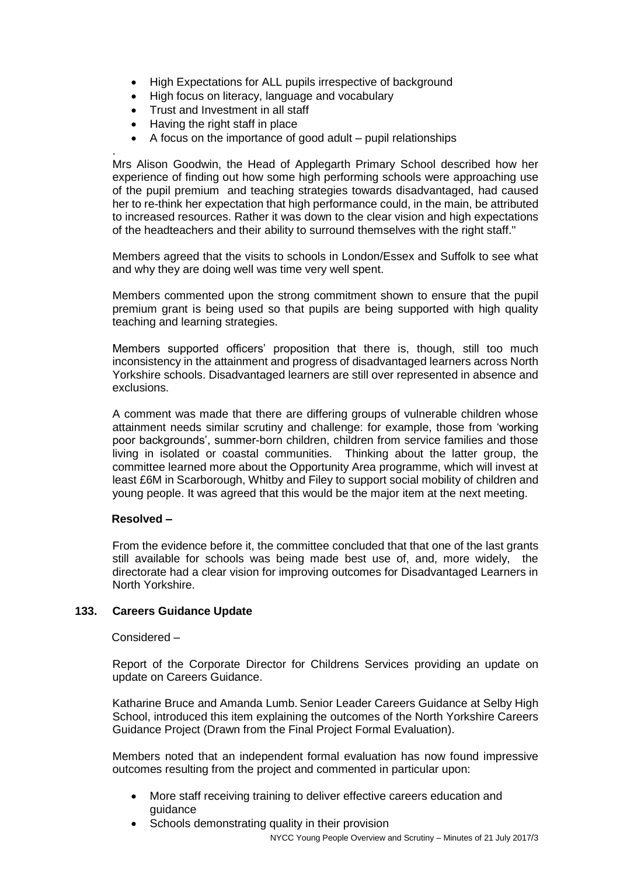- High Expectations for ALL pupils irrespective of background
- High focus on literacy, language and vocabulary
- Trust and Investment in all staff
- Having the right staff in place
- A focus on the importance of good adult pupil relationships

. Mrs Alison Goodwin, the Head of Applegarth Primary School described how her experience of finding out how some high performing schools were approaching use of the pupil premium and teaching strategies towards disadvantaged, had caused her to re-think her expectation that high performance could, in the main, be attributed to increased resources. Rather it was down to the clear vision and high expectations of the headteachers and their ability to surround themselves with the right staff."

Members agreed that the visits to schools in London/Essex and Suffolk to see what and why they are doing well was time very well spent.

Members commented upon the strong commitment shown to ensure that the pupil premium grant is being used so that pupils are being supported with high quality teaching and learning strategies.

Members supported officers' proposition that there is, though, still too much inconsistency in the attainment and progress of disadvantaged learners across North Yorkshire schools. Disadvantaged learners are still over represented in absence and exclusions.

A comment was made that there are differing groups of vulnerable children whose attainment needs similar scrutiny and challenge: for example, those from 'working poor backgrounds', summer-born children, children from service families and those living in isolated or coastal communities. Thinking about the latter group, the committee learned more about the Opportunity Area programme, which will invest at least £6M in Scarborough, Whitby and Filey to support social mobility of children and young people. It was agreed that this would be the major item at the next meeting.

## **Resolved –**

From the evidence before it, the committee concluded that that one of the last grants still available for schools was being made best use of, and, more widely, the directorate had a clear vision for improving outcomes for Disadvantaged Learners in North Yorkshire.

## **133. Careers Guidance Update**

#### Considered –

Report of the Corporate Director for Childrens Services providing an update on update on Careers Guidance.

Katharine Bruce and Amanda Lumb. Senior Leader Careers Guidance at Selby High School, introduced this item explaining the outcomes of the North Yorkshire Careers Guidance Project (Drawn from the Final Project Formal Evaluation).

Members noted that an independent formal evaluation has now found impressive outcomes resulting from the project and commented in particular upon:

- More staff receiving training to deliver effective careers education and guidance
- Schools demonstrating quality in their provision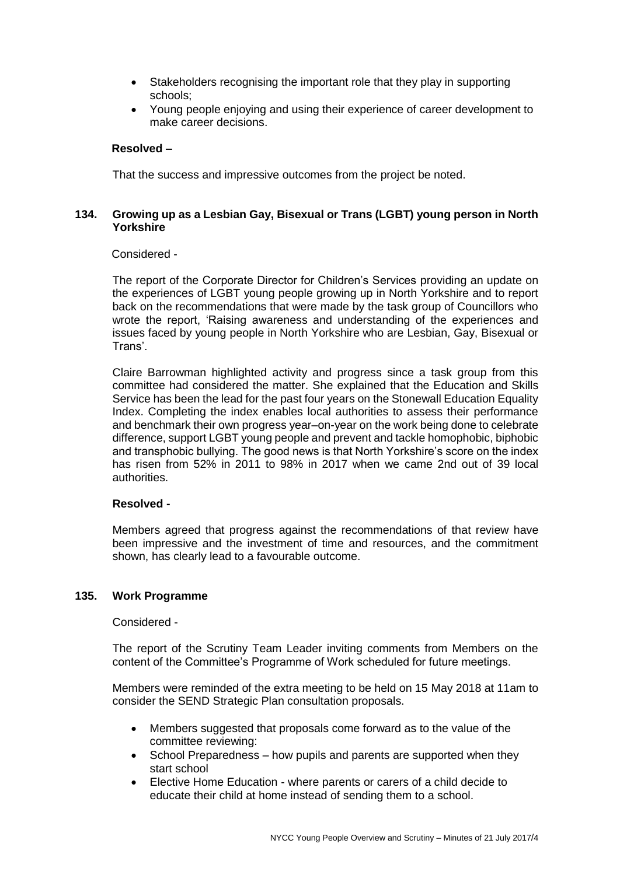- Stakeholders recognising the important role that they play in supporting schools;
- Young people enjoying and using their experience of career development to make career decisions.

## **Resolved –**

That the success and impressive outcomes from the project be noted.

## **134. Growing up as a Lesbian Gay, Bisexual or Trans (LGBT) young person in North Yorkshire**

#### Considered -

The report of the Corporate Director for Children's Services providing an update on the experiences of LGBT young people growing up in North Yorkshire and to report back on the recommendations that were made by the task group of Councillors who wrote the report, 'Raising awareness and understanding of the experiences and issues faced by young people in North Yorkshire who are Lesbian, Gay, Bisexual or Trans'.

Claire Barrowman highlighted activity and progress since a task group from this committee had considered the matter. She explained that the Education and Skills Service has been the lead for the past four years on the Stonewall Education Equality Index. Completing the index enables local authorities to assess their performance and benchmark their own progress year–on-year on the work being done to celebrate difference, support LGBT young people and prevent and tackle homophobic, biphobic and transphobic bullying. The good news is that North Yorkshire's score on the index has risen from 52% in 2011 to 98% in 2017 when we came 2nd out of 39 local authorities.

## **Resolved -**

Members agreed that progress against the recommendations of that review have been impressive and the investment of time and resources, and the commitment shown, has clearly lead to a favourable outcome.

#### **135. Work Programme**

Considered -

The report of the Scrutiny Team Leader inviting comments from Members on the content of the Committee's Programme of Work scheduled for future meetings.

Members were reminded of the extra meeting to be held on 15 May 2018 at 11am to consider the SEND Strategic Plan consultation proposals.

- Members suggested that proposals come forward as to the value of the committee reviewing:
- School Preparedness how pupils and parents are supported when they start school
- Elective Home Education where parents or carers of a child decide to educate their child at home instead of sending them to a school.